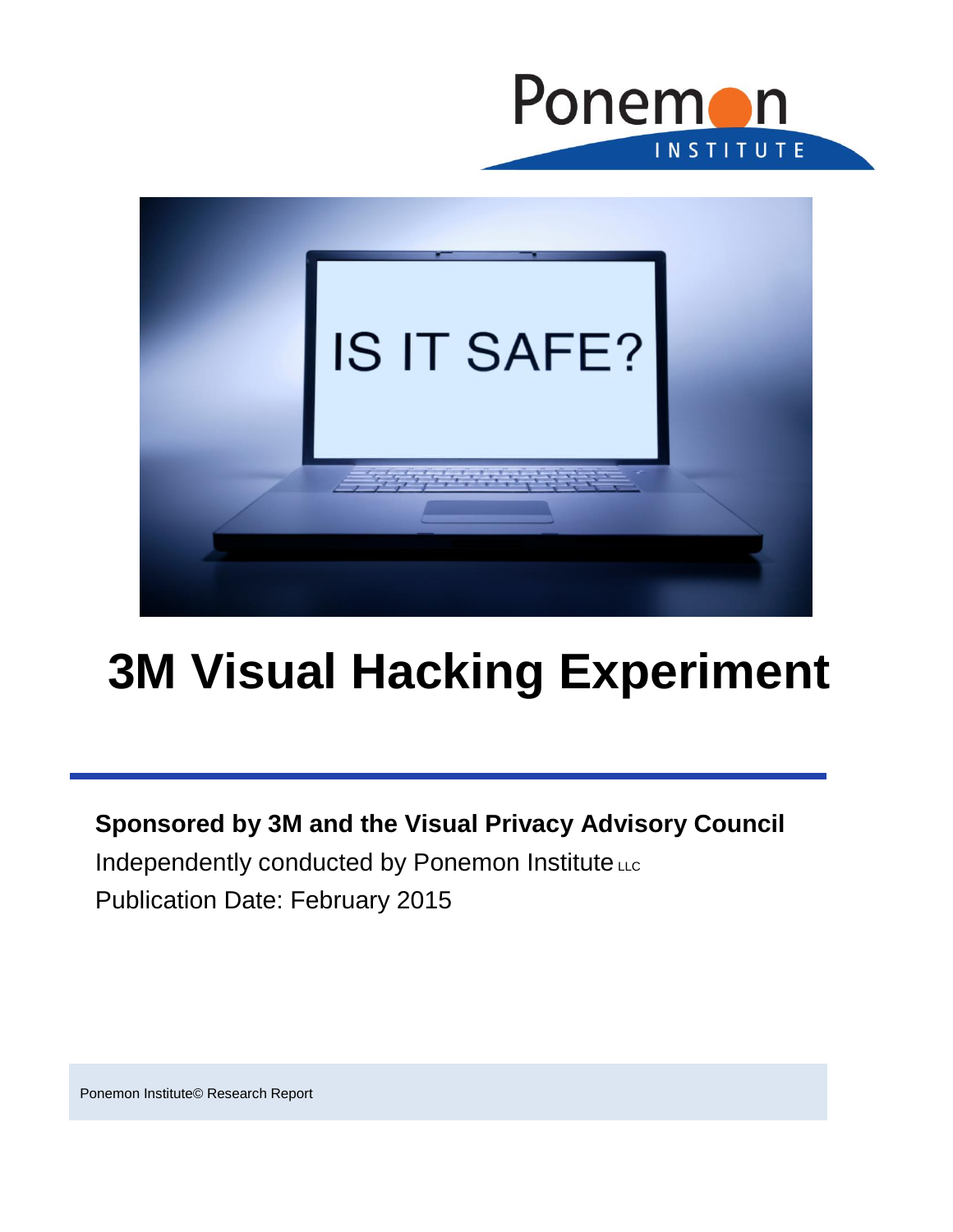



# **3M Visual Hacking Experiment**

## **Sponsored by 3M and the Visual Privacy Advisory Council** Independently conducted by Ponemon Institute LLC

Publication Date: February 2015

Ponemon Institute© Research Report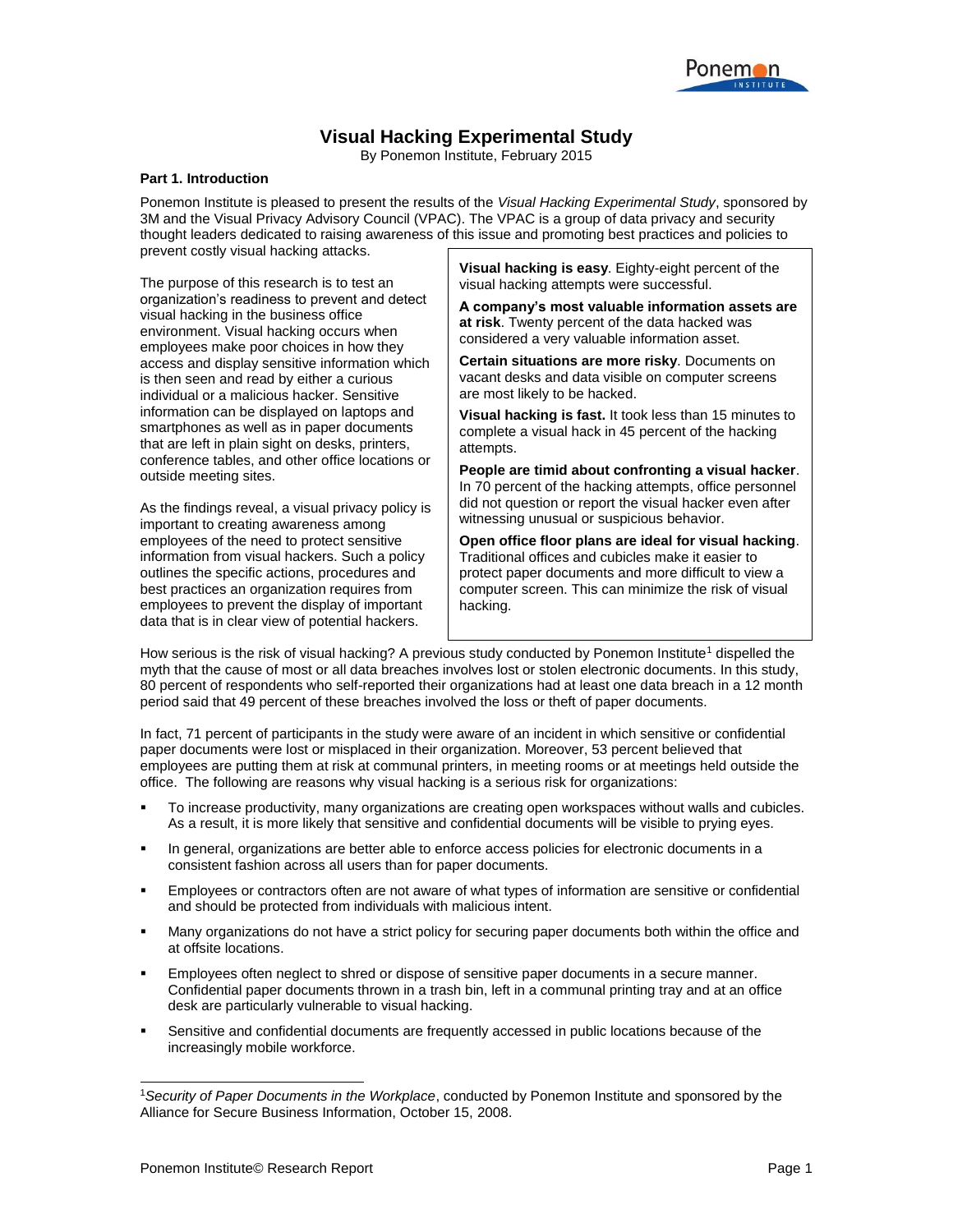

### **Visual Hacking Experimental Study**

By Ponemon Institute, February 2015

#### **Part 1. Introduction**

Ponemon Institute is pleased to present the results of the *Visual Hacking Experimental Study*, sponsored by 3M and the Visual Privacy Advisory Council (VPAC). The VPAC is a group of data privacy and security thought leaders dedicated to raising awareness of this issue and promoting best practices and policies to prevent costly visual hacking attacks.

The purpose of this research is to test an organization's readiness to prevent and detect visual hacking in the business office environment. Visual hacking occurs when employees make poor choices in how they access and display sensitive information which is then seen and read by either a curious individual or a malicious hacker. Sensitive information can be displayed on laptops and smartphones as well as in paper documents that are left in plain sight on desks, printers, conference tables, and other office locations or outside meeting sites.

As the findings reveal, a visual privacy policy is important to creating awareness among employees of the need to protect sensitive information from visual hackers. Such a policy outlines the specific actions, procedures and best practices an organization requires from employees to prevent the display of important data that is in clear view of potential hackers.

**Visual hacking is easy**. Eighty-eight percent of the visual hacking attempts were successful.

**A company's most valuable information assets are at risk**. Twenty percent of the data hacked was considered a very valuable information asset.

**Certain situations are more risky**. Documents on vacant desks and data visible on computer screens are most likely to be hacked.

**Visual hacking is fast.** It took less than 15 minutes to complete a visual hack in 45 percent of the hacking attempts.

**People are timid about confronting a visual hacker**. In 70 percent of the hacking attempts, office personnel did not question or report the visual hacker even after witnessing unusual or suspicious behavior.

**Open office floor plans are ideal for visual hacking**. Traditional offices and cubicles make it easier to protect paper documents and more difficult to view a computer screen. This can minimize the risk of visual hacking.

How serious is the risk of visual hacking? A previous study conducted by Ponemon Institute<sup>1</sup> dispelled the myth that the cause of most or all data breaches involves lost or stolen electronic documents. In this study, 80 percent of respondents who self-reported their organizations had at least one data breach in a 12 month period said that 49 percent of these breaches involved the loss or theft of paper documents.

In fact, 71 percent of participants in the study were aware of an incident in which sensitive or confidential paper documents were lost or misplaced in their organization. Moreover, 53 percent believed that employees are putting them at risk at communal printers, in meeting rooms or at meetings held outside the office. The following are reasons why visual hacking is a serious risk for organizations:

- To increase productivity, many organizations are creating open workspaces without walls and cubicles. As a result, it is more likely that sensitive and confidential documents will be visible to prying eyes.
- In general, organizations are better able to enforce access policies for electronic documents in a consistent fashion across all users than for paper documents.
- Employees or contractors often are not aware of what types of information are sensitive or confidential and should be protected from individuals with malicious intent.
- Many organizations do not have a strict policy for securing paper documents both within the office and at offsite locations.
- Employees often neglect to shred or dispose of sensitive paper documents in a secure manner. Confidential paper documents thrown in a trash bin, left in a communal printing tray and at an office desk are particularly vulnerable to visual hacking.
- Sensitive and confidential documents are frequently accessed in public locations because of the increasingly mobile workforce.

 $\overline{a}$ 

<sup>1</sup>*Security of Paper Documents in the Workplace*, conducted by Ponemon Institute and sponsored by the Alliance for Secure Business Information, October 15, 2008.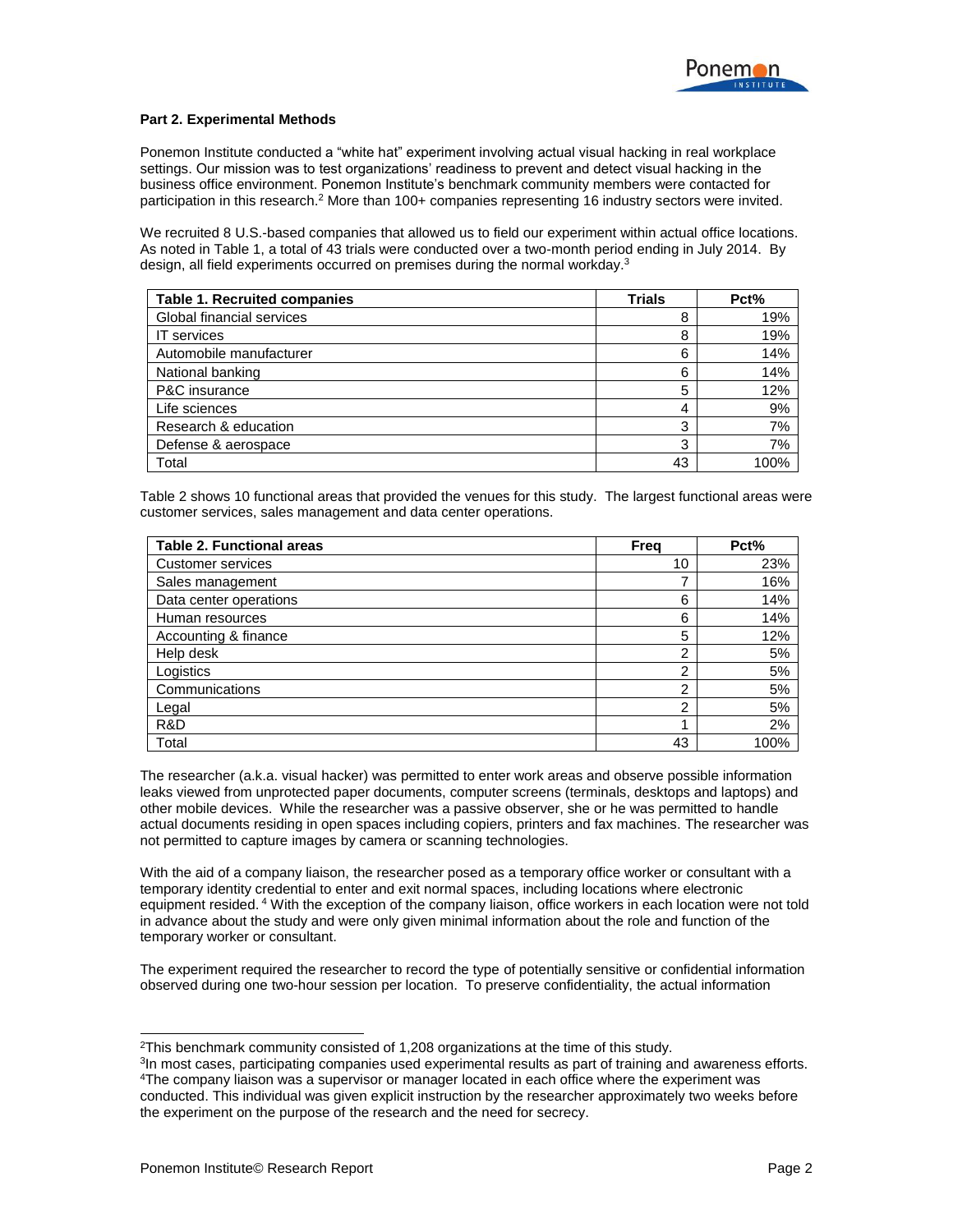#### **Part 2. Experimental Methods**

Ponemon Institute conducted a "white hat" experiment involving actual visual hacking in real workplace settings. Our mission was to test organizations' readiness to prevent and detect visual hacking in the business office environment. Ponemon Institute's benchmark community members were contacted for participation in this research.<sup>2</sup> More than 100+ companies representing 16 industry sectors were invited.

We recruited 8 U.S.-based companies that allowed us to field our experiment within actual office locations. As noted in Table 1, a total of 43 trials were conducted over a two-month period ending in July 2014. By design, all field experiments occurred on premises during the normal workday.<sup>3</sup>

| <b>Table 1. Recruited companies</b> | <b>Trials</b> | Pct% |
|-------------------------------------|---------------|------|
| Global financial services           | 8             | 19%  |
| <b>IT</b> services                  | 8             | 19%  |
| Automobile manufacturer             | 6             | 14%  |
| National banking                    | 6             | 14%  |
| P&C insurance                       | 5             | 12%  |
| Life sciences                       | 4             | 9%   |
| Research & education                | 3             | 7%   |
| Defense & aerospace                 | 3             | 7%   |
| Total                               | 43            | 100% |

Table 2 shows 10 functional areas that provided the venues for this study. The largest functional areas were customer services, sales management and data center operations.

| <b>Table 2. Functional areas</b> | Freq | Pct% |
|----------------------------------|------|------|
| Customer services                | 10   | 23%  |
| Sales management                 |      | 16%  |
| Data center operations           | 6    | 14%  |
| Human resources                  | 6    | 14%  |
| Accounting & finance             | 5    | 12%  |
| Help desk                        | ົ    | 5%   |
| Logistics                        | ົ    | 5%   |
| Communications                   | ົ    | 5%   |
| Legal                            | ົ    | 5%   |
| R&D                              |      | 2%   |
| Total                            | 43   | 100% |

The researcher (a.k.a. visual hacker) was permitted to enter work areas and observe possible information leaks viewed from unprotected paper documents, computer screens (terminals, desktops and laptops) and other mobile devices. While the researcher was a passive observer, she or he was permitted to handle actual documents residing in open spaces including copiers, printers and fax machines. The researcher was not permitted to capture images by camera or scanning technologies.

With the aid of a company liaison, the researcher posed as a temporary office worker or consultant with a temporary identity credential to enter and exit normal spaces, including locations where electronic equipment resided. <sup>4</sup> With the exception of the company liaison, office workers in each location were not told in advance about the study and were only given minimal information about the role and function of the temporary worker or consultant.

The experiment required the researcher to record the type of potentially sensitive or confidential information observed during one two-hour session per location. To preserve confidentiality, the actual information

l

 $2$ This benchmark community consisted of 1,208 organizations at the time of this study.

<sup>&</sup>lt;sup>3</sup>In most cases, participating companies used experimental results as part of training and awareness efforts. <sup>4</sup>The company liaison was a supervisor or manager located in each office where the experiment was conducted. This individual was given explicit instruction by the researcher approximately two weeks before the experiment on the purpose of the research and the need for secrecy.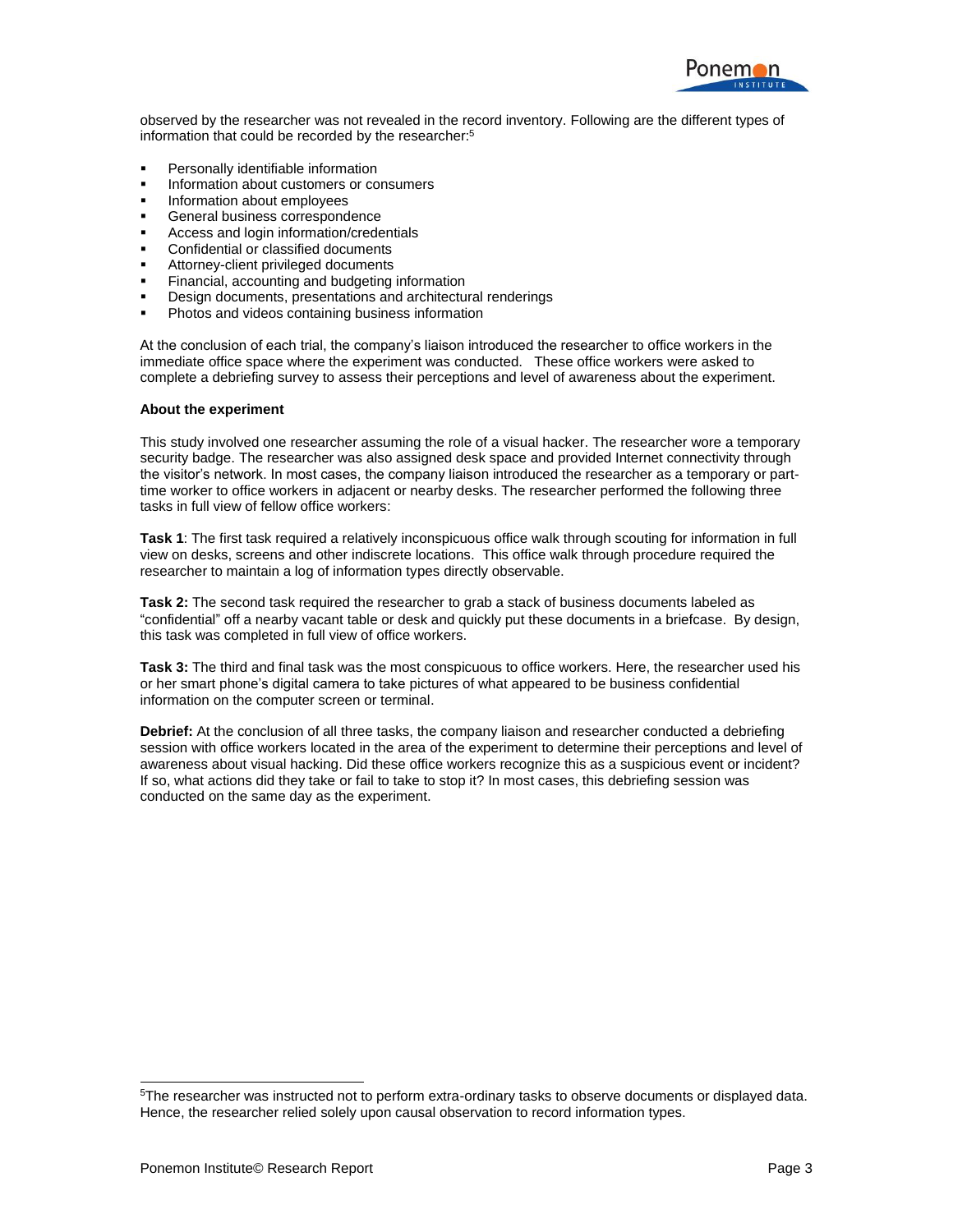

observed by the researcher was not revealed in the record inventory. Following are the different types of information that could be recorded by the researcher:<sup>5</sup>

- Personally identifiable information
- Information about customers or consumers
- **Information about employees**
- **General business correspondence**
- Access and login information/credentials
- Confidential or classified documents
- Attorney-client privileged documents
- Financial, accounting and budgeting information
- Design documents, presentations and architectural renderings
- Photos and videos containing business information

At the conclusion of each trial, the company's liaison introduced the researcher to office workers in the immediate office space where the experiment was conducted. These office workers were asked to complete a debriefing survey to assess their perceptions and level of awareness about the experiment.

#### **About the experiment**

This study involved one researcher assuming the role of a visual hacker. The researcher wore a temporary security badge. The researcher was also assigned desk space and provided Internet connectivity through the visitor's network. In most cases, the company liaison introduced the researcher as a temporary or parttime worker to office workers in adjacent or nearby desks. The researcher performed the following three tasks in full view of fellow office workers:

**Task 1**: The first task required a relatively inconspicuous office walk through scouting for information in full view on desks, screens and other indiscrete locations. This office walk through procedure required the researcher to maintain a log of information types directly observable.

**Task 2:** The second task required the researcher to grab a stack of business documents labeled as "confidential" off a nearby vacant table or desk and quickly put these documents in a briefcase. By design, this task was completed in full view of office workers.

**Task 3:** The third and final task was the most conspicuous to office workers. Here, the researcher used his or her smart phone's digital camera to take pictures of what appeared to be business confidential information on the computer screen or terminal.

**Debrief:** At the conclusion of all three tasks, the company liaison and researcher conducted a debriefing session with office workers located in the area of the experiment to determine their perceptions and level of awareness about visual hacking. Did these office workers recognize this as a suspicious event or incident? If so, what actions did they take or fail to take to stop it? In most cases, this debriefing session was conducted on the same day as the experiment.

 $\overline{a}$ 

<sup>&</sup>lt;sup>5</sup>The researcher was instructed not to perform extra-ordinary tasks to observe documents or displayed data. Hence, the researcher relied solely upon causal observation to record information types.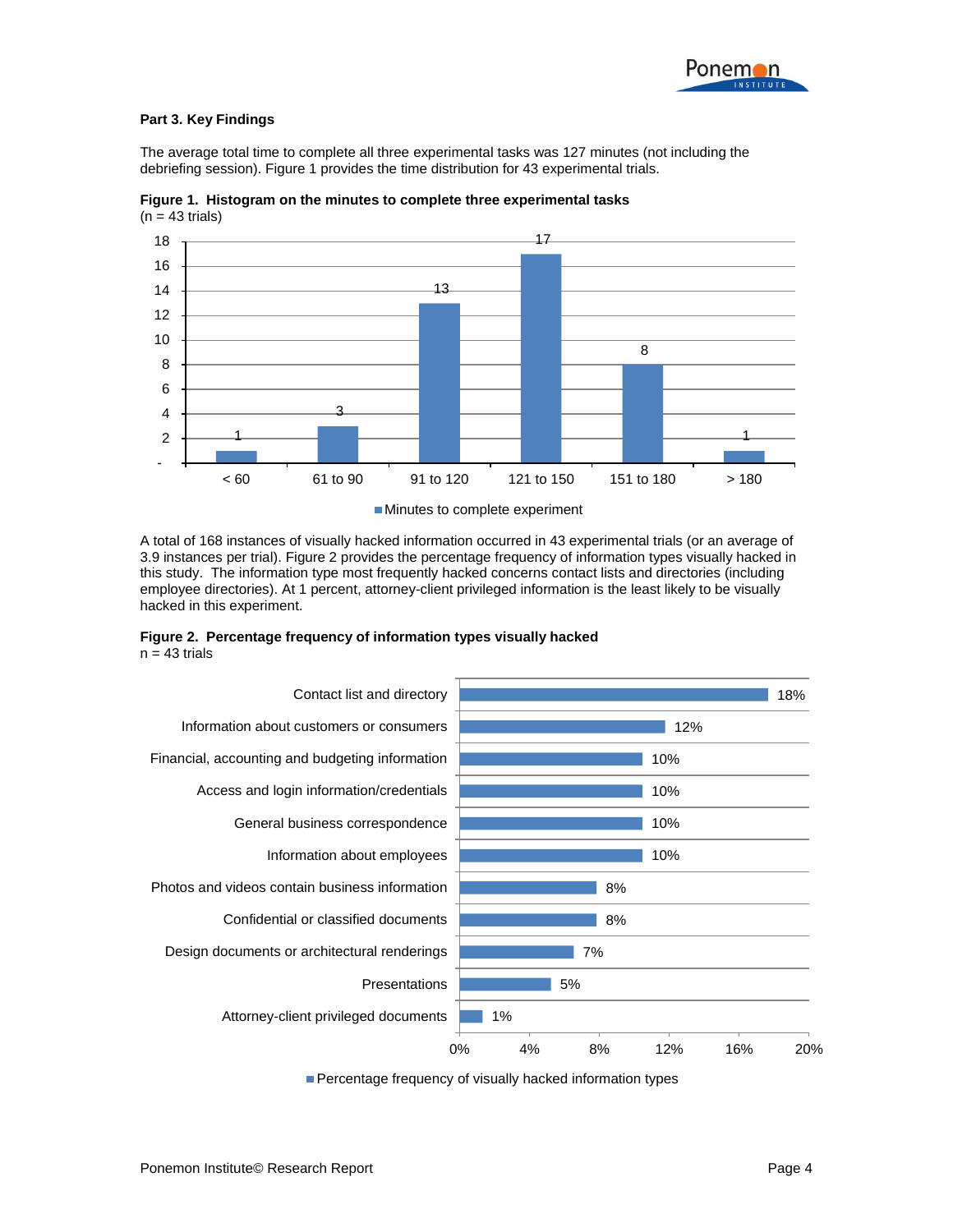

#### **Part 3. Key Findings**

The average total time to complete all three experimental tasks was 127 minutes (not including the debriefing session). Figure 1 provides the time distribution for 43 experimental trials.



**Figure 1. Histogram on the minutes to complete three experimental tasks**  $(n = 43 \text{ trials})$ 

Minutes to complete experiment

A total of 168 instances of visually hacked information occurred in 43 experimental trials (or an average of 3.9 instances per trial). Figure 2 provides the percentage frequency of information types visually hacked in this study. The information type most frequently hacked concerns contact lists and directories (including employee directories). At 1 percent, attorney-client privileged information is the least likely to be visually hacked in this experiment.





Percentage frequency of visually hacked information types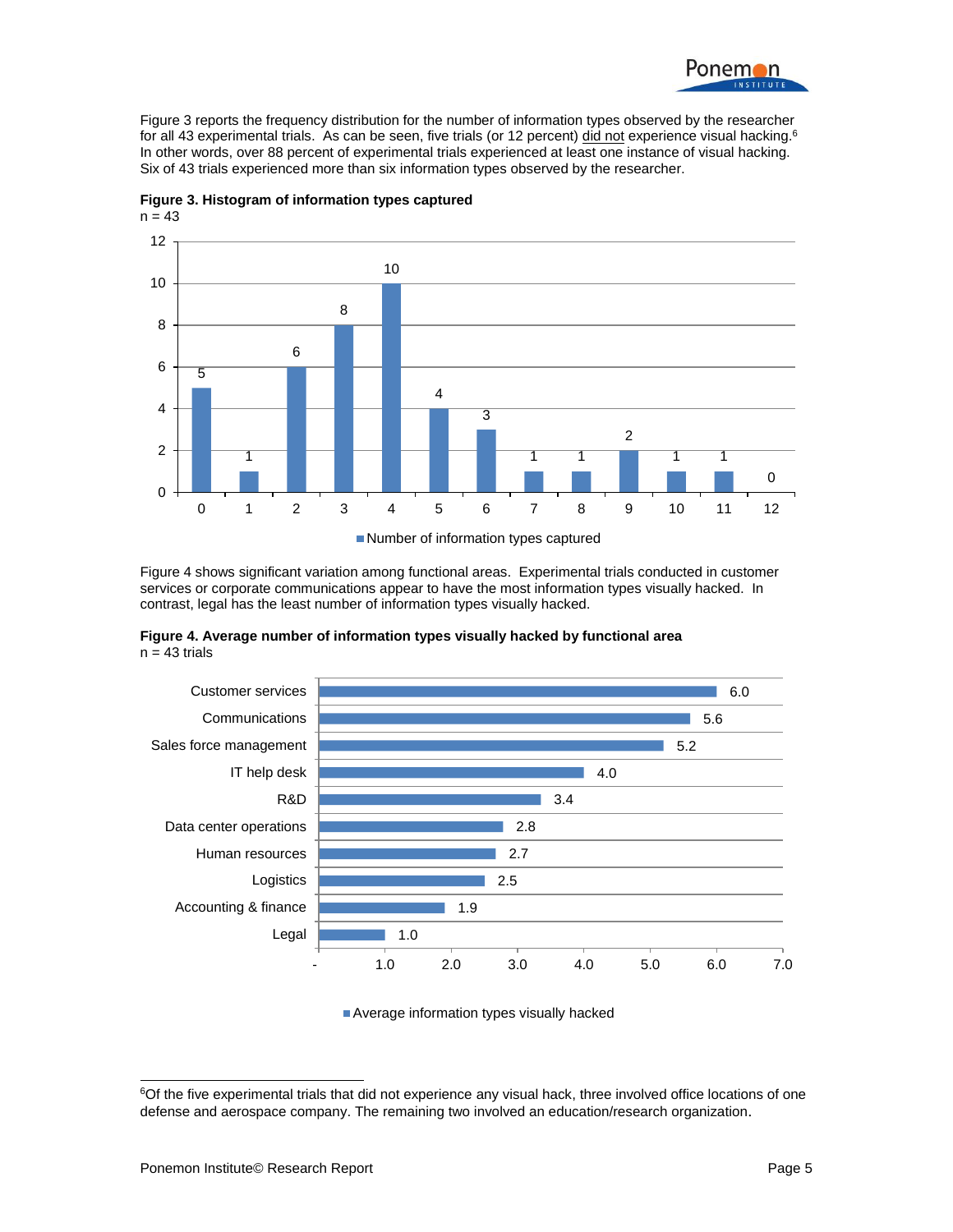

Figure 3 reports the frequency distribution for the number of information types observed by the researcher for all 43 experimental trials. As can be seen, five trials (or 12 percent) did not experience visual hacking.<sup>6</sup> In other words, over 88 percent of experimental trials experienced at least one instance of visual hacking. Six of 43 trials experienced more than six information types observed by the researcher.



**Figure 3. Histogram of information types captured**  $n = 43$ 

Number of information types captured

Figure 4 shows significant variation among functional areas. Experimental trials conducted in customer services or corporate communications appear to have the most information types visually hacked. In contrast, legal has the least number of information types visually hacked.

**Figure 4. Average number of information types visually hacked by functional area**  $n = 43$  trials



Average information types visually hacked

 $\overline{a}$ 

<sup>&</sup>lt;sup>6</sup>Of the five experimental trials that did not experience any visual hack, three involved office locations of one defense and aerospace company. The remaining two involved an education/research organization.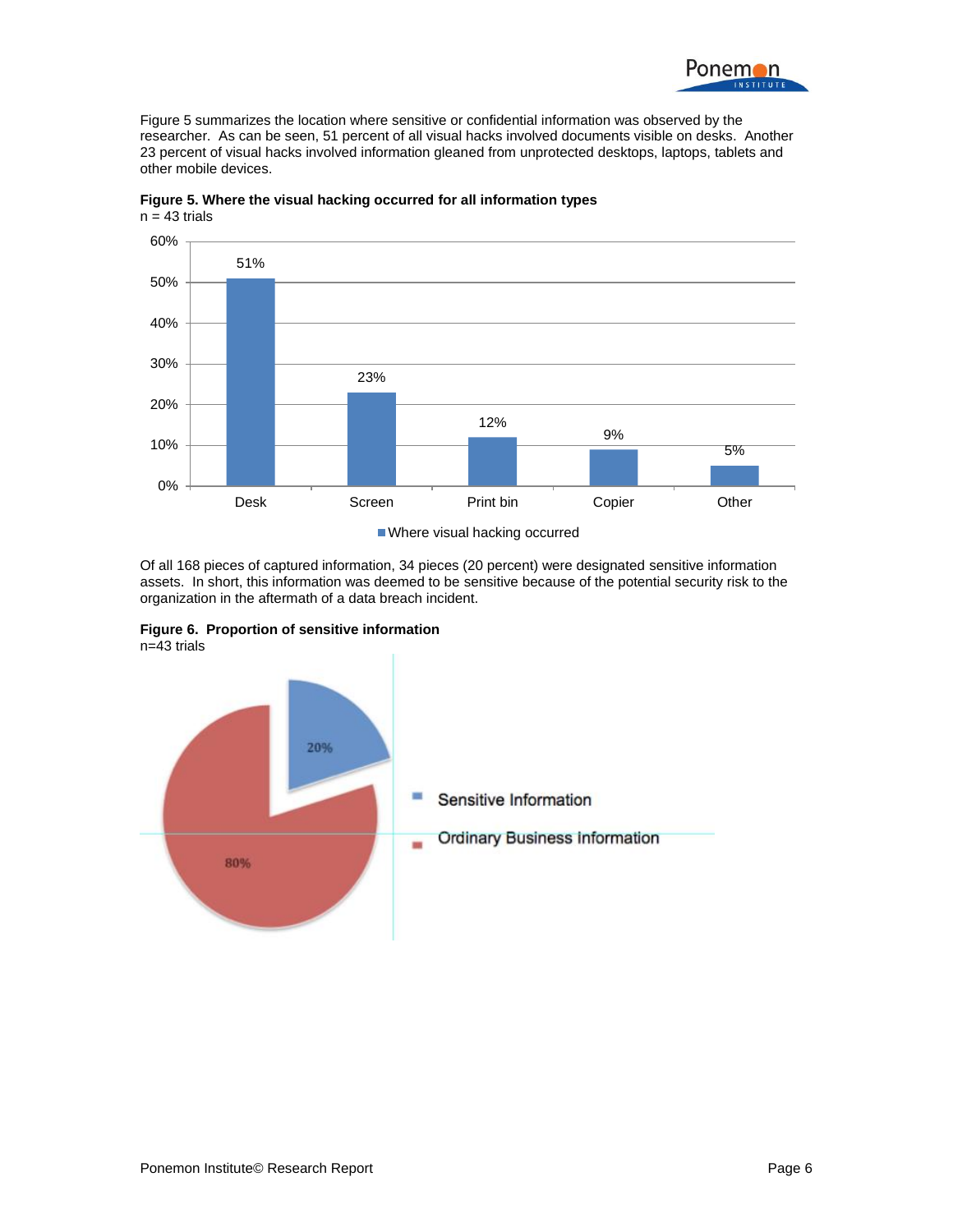

Figure 5 summarizes the location where sensitive or confidential information was observed by the researcher. As can be seen, 51 percent of all visual hacks involved documents visible on desks. Another 23 percent of visual hacks involved information gleaned from unprotected desktops, laptops, tablets and other mobile devices.



**Figure 5. Where the visual hacking occurred for all information types**  $n = 43$  trials

Where visual hacking occurred

Of all 168 pieces of captured information, 34 pieces (20 percent) were designated sensitive information assets. In short, this information was deemed to be sensitive because of the potential security risk to the organization in the aftermath of a data breach incident.

**Figure 6. Proportion of sensitive information**  $n=43$  trials

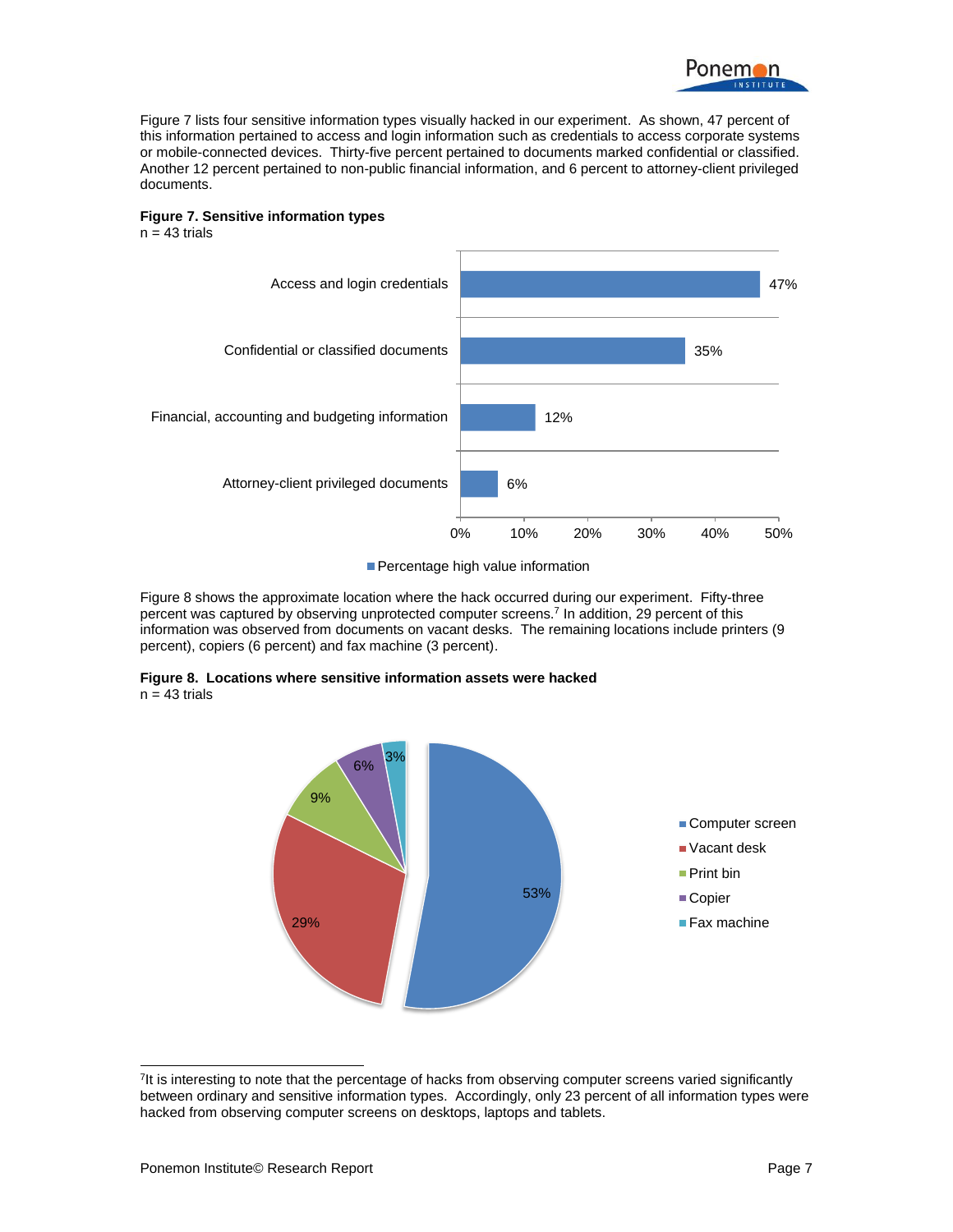

Figure 7 lists four sensitive information types visually hacked in our experiment. As shown, 47 percent of this information pertained to access and login information such as credentials to access corporate systems or mobile-connected devices. Thirty-five percent pertained to documents marked confidential or classified. Another 12 percent pertained to non-public financial information, and 6 percent to attorney-client privileged documents.



 $n = 43$  trials



**Percentage high value information** 

Figure 8 shows the approximate location where the hack occurred during our experiment. Fifty-three percent was captured by observing unprotected computer screens.<sup>7</sup> In addition, 29 percent of this information was observed from documents on vacant desks. The remaining locations include printers (9 percent), copiers (6 percent) and fax machine (3 percent).





l <sup>7</sup>It is interesting to note that the percentage of hacks from observing computer screens varied significantly between ordinary and sensitive information types. Accordingly, only 23 percent of all information types were hacked from observing computer screens on desktops, laptops and tablets.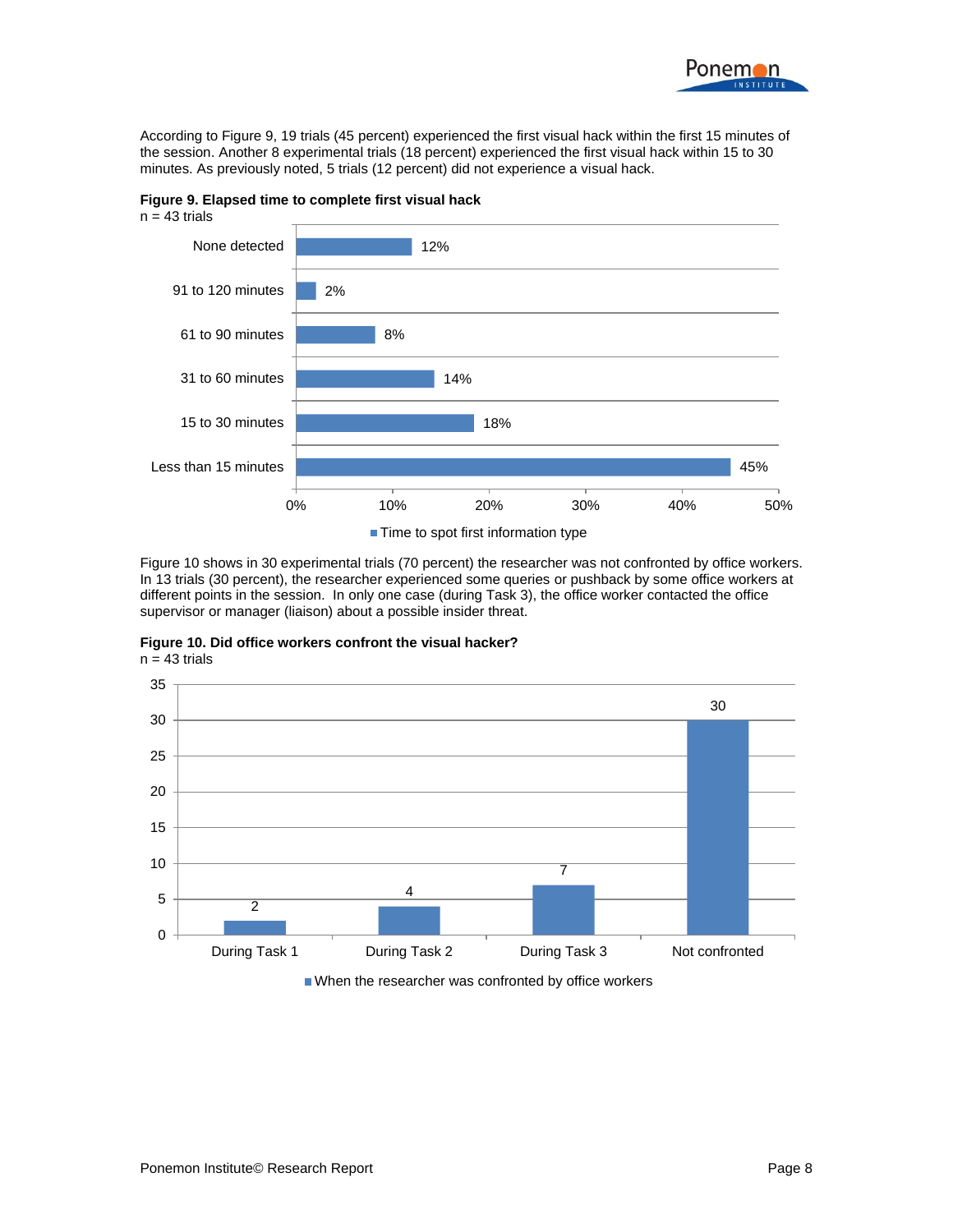

According to Figure 9, 19 trials (45 percent) experienced the first visual hack within the first 15 minutes of the session. Another 8 experimental trials (18 percent) experienced the first visual hack within 15 to 30 minutes. As previously noted, 5 trials (12 percent) did not experience a visual hack.

**Figure 9. Elapsed time to complete first visual hack**





■ Time to spot first information type

Figure 10 shows in 30 experimental trials (70 percent) the researcher was not confronted by office workers. In 13 trials (30 percent), the researcher experienced some queries or pushback by some office workers at different points in the session. In only one case (during Task 3), the office worker contacted the office supervisor or manager (liaison) about a possible insider threat.





■ When the researcher was confronted by office workers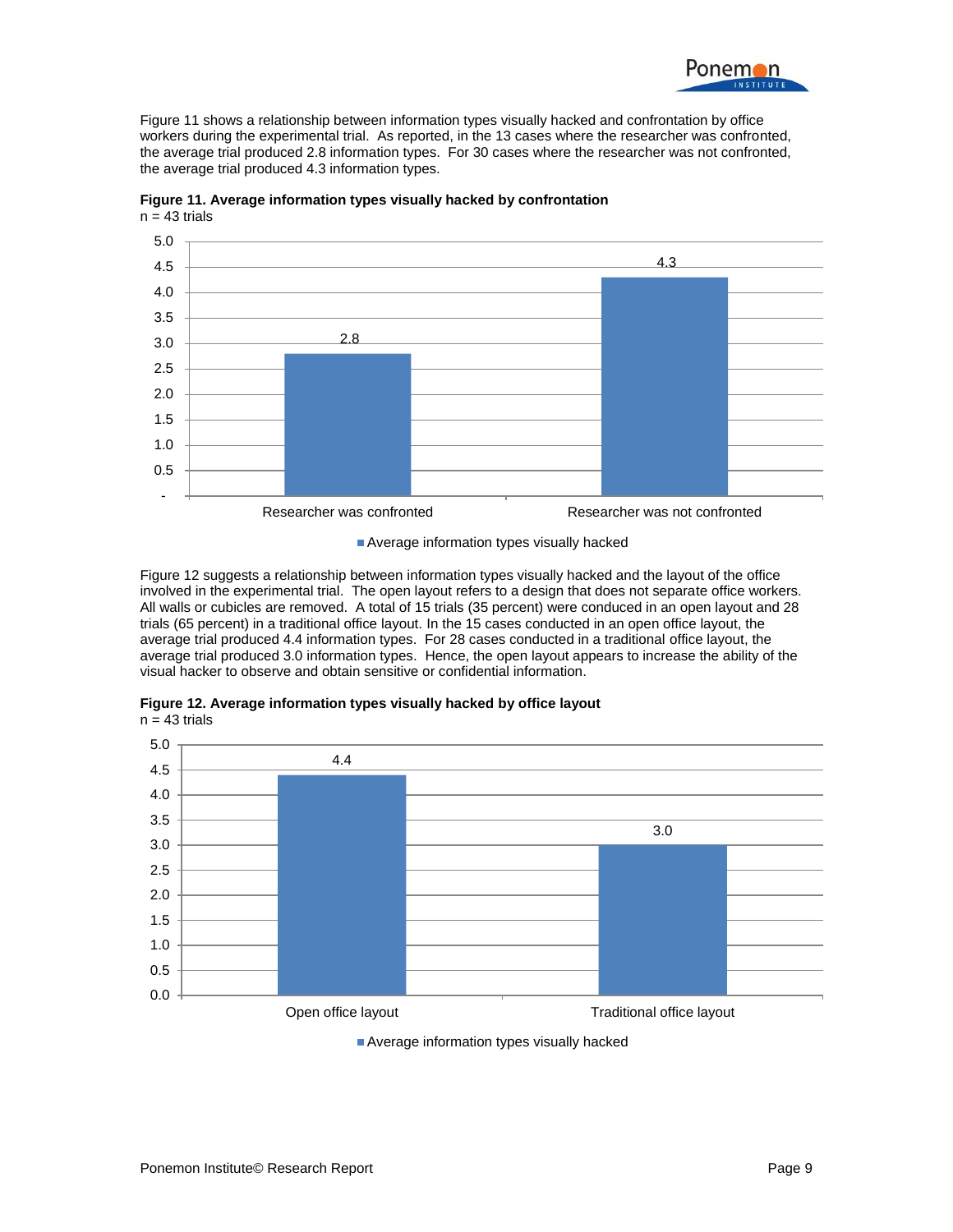

Figure 11 shows a relationship between information types visually hacked and confrontation by office workers during the experimental trial. As reported, in the 13 cases where the researcher was confronted, the average trial produced 2.8 information types. For 30 cases where the researcher was not confronted, the average trial produced 4.3 information types.



**Figure 11. Average information types visually hacked by confrontation**  $n = 43$  trials

Average information types visually hacked

Figure 12 suggests a relationship between information types visually hacked and the layout of the office involved in the experimental trial. The open layout refers to a design that does not separate office workers. All walls or cubicles are removed. A total of 15 trials (35 percent) were conduced in an open layout and 28 trials (65 percent) in a traditional office layout. In the 15 cases conducted in an open office layout, the average trial produced 4.4 information types. For 28 cases conducted in a traditional office layout, the average trial produced 3.0 information types. Hence, the open layout appears to increase the ability of the visual hacker to observe and obtain sensitive or confidential information.





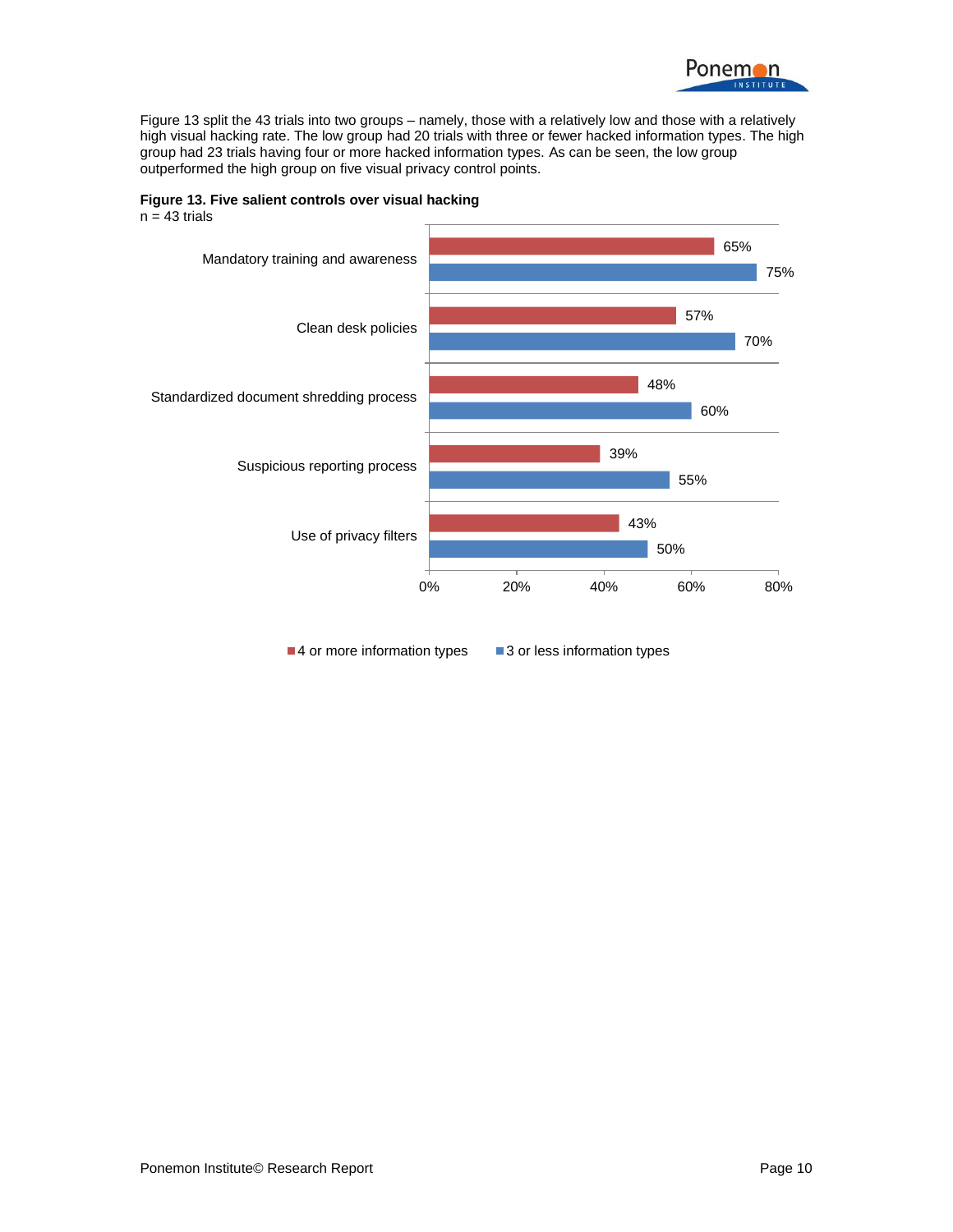

Figure 13 split the 43 trials into two groups – namely, those with a relatively low and those with a relatively high visual hacking rate. The low group had 20 trials with three or fewer hacked information types. The high group had 23 trials having four or more hacked information types. As can be seen, the low group outperformed the high group on five visual privacy control points.

**Figure 13. Five salient controls over visual hacking**



■4 or more information types ■ 3 or less information types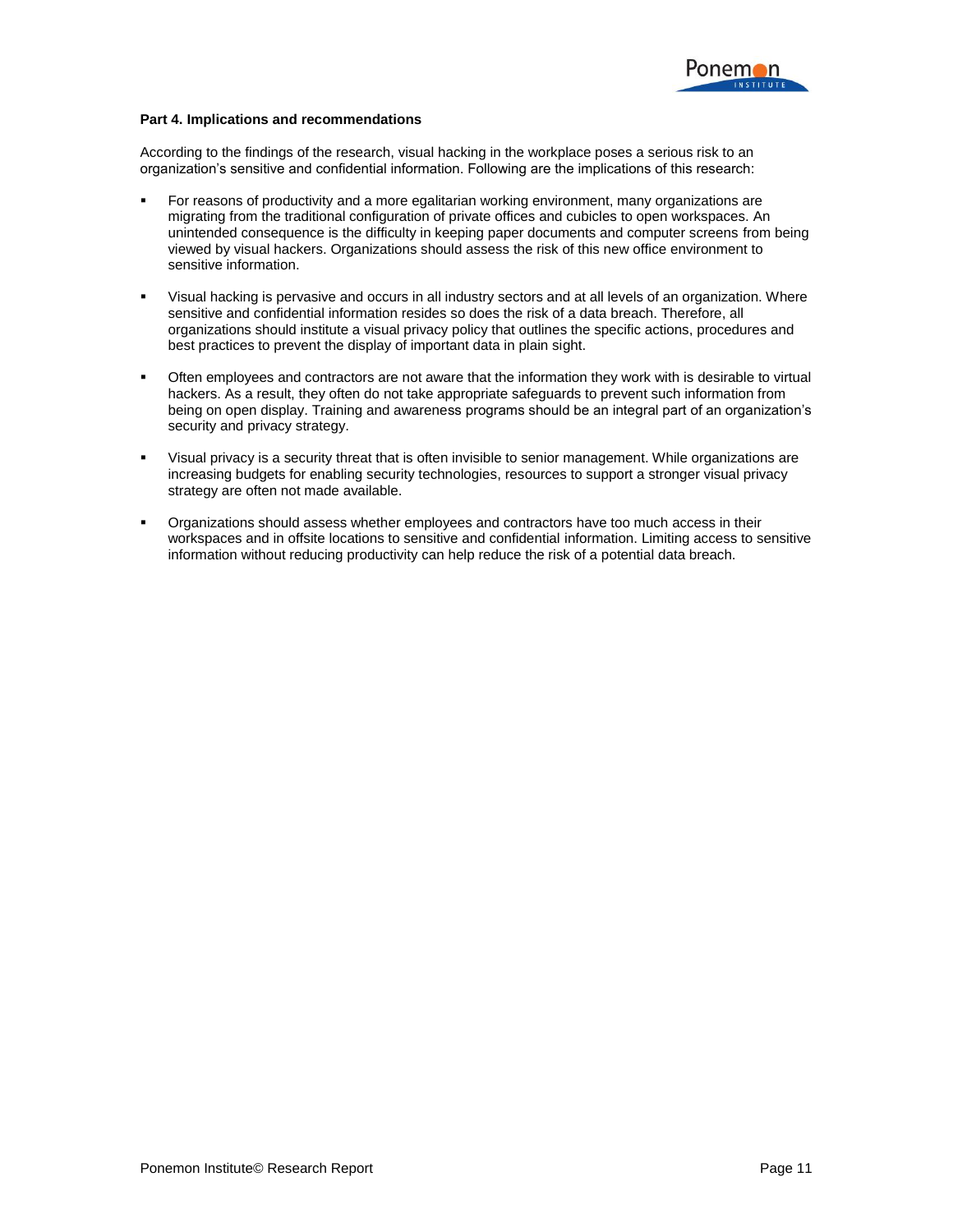

#### **Part 4. Implications and recommendations**

According to the findings of the research, visual hacking in the workplace poses a serious risk to an organization's sensitive and confidential information. Following are the implications of this research:

- For reasons of productivity and a more egalitarian working environment, many organizations are migrating from the traditional configuration of private offices and cubicles to open workspaces. An unintended consequence is the difficulty in keeping paper documents and computer screens from being viewed by visual hackers. Organizations should assess the risk of this new office environment to sensitive information.
- Visual hacking is pervasive and occurs in all industry sectors and at all levels of an organization. Where sensitive and confidential information resides so does the risk of a data breach. Therefore, all organizations should institute a visual privacy policy that outlines the specific actions, procedures and best practices to prevent the display of important data in plain sight.
- Often employees and contractors are not aware that the information they work with is desirable to virtual hackers. As a result, they often do not take appropriate safeguards to prevent such information from being on open display. Training and awareness programs should be an integral part of an organization's security and privacy strategy.
- Visual privacy is a security threat that is often invisible to senior management. While organizations are increasing budgets for enabling security technologies, resources to support a stronger visual privacy strategy are often not made available.
- Organizations should assess whether employees and contractors have too much access in their workspaces and in offsite locations to sensitive and confidential information. Limiting access to sensitive information without reducing productivity can help reduce the risk of a potential data breach.